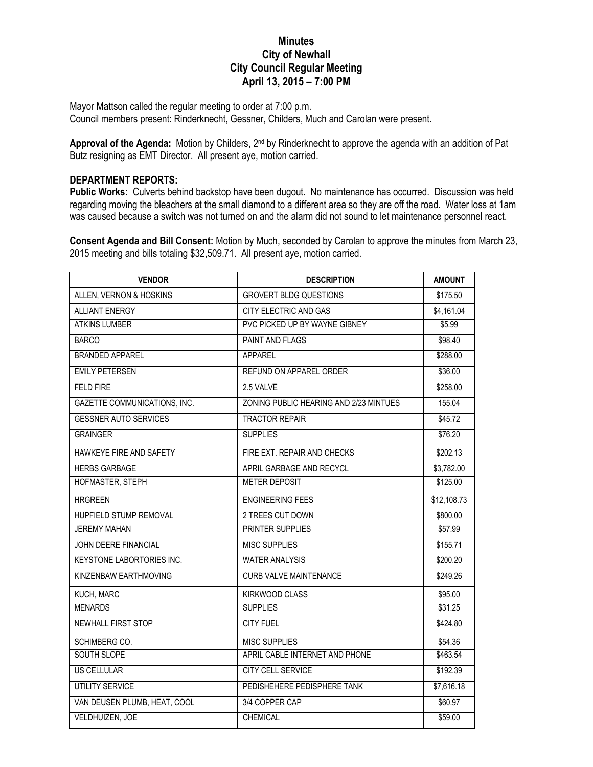## **Minutes City of Newhall City Council Regular Meeting April 13, 2015 – 7:00 PM**

Mayor Mattson called the regular meeting to order at 7:00 p.m. Council members present: Rinderknecht, Gessner, Childers, Much and Carolan were present.

**Approval of the Agenda:** Motion by Childers, 2nd by Rinderknecht to approve the agenda with an addition of Pat Butz resigning as EMT Director. All present aye, motion carried.

## **DEPARTMENT REPORTS:**

**Public Works:** Culverts behind backstop have been dugout. No maintenance has occurred. Discussion was held regarding moving the bleachers at the small diamond to a different area so they are off the road. Water loss at 1am was caused because a switch was not turned on and the alarm did not sound to let maintenance personnel react.

**Consent Agenda and Bill Consent:** Motion by Much, seconded by Carolan to approve the minutes from March 23, 2015 meeting and bills totaling \$32,509.71. All present aye, motion carried.

| <b>VENDOR</b>                    | <b>DESCRIPTION</b>                     | <b>AMOUNT</b> |
|----------------------------------|----------------------------------------|---------------|
| ALLEN, VERNON & HOSKINS          | <b>GROVERT BLDG QUESTIONS</b>          | \$175.50      |
| <b>ALLIANT ENERGY</b>            | CITY ELECTRIC AND GAS                  | \$4,161.04    |
| <b>ATKINS LUMBER</b>             | PVC PICKED UP BY WAYNE GIBNEY          | \$5.99        |
| <b>BARCO</b>                     | <b>PAINT AND FLAGS</b>                 | \$98.40       |
| <b>BRANDED APPAREL</b>           | <b>APPAREL</b>                         | \$288.00      |
| <b>EMILY PETERSEN</b>            | REFUND ON APPAREL ORDER                | \$36.00       |
| <b>FELD FIRE</b>                 | 2.5 VAI VF                             | \$258.00      |
| GAZETTE COMMUNICATIONS, INC.     | ZONING PUBLIC HEARING AND 2/23 MINTUES | 155.04        |
| <b>GESSNER AUTO SERVICES</b>     | <b>TRACTOR REPAIR</b>                  | \$45.72       |
| <b>GRAINGER</b>                  | <b>SUPPLIES</b>                        | \$76.20       |
| HAWKEYE FIRE AND SAFETY          | FIRE EXT. REPAIR AND CHECKS            | \$202.13      |
| <b>HERBS GARBAGE</b>             | APRIL GARBAGE AND RECYCL               | \$3,782.00    |
| HOFMASTER, STEPH                 | <b>METER DEPOSIT</b>                   | \$125.00      |
| <b>HRGREEN</b>                   | <b>ENGINEERING FEES</b>                | \$12,108.73   |
| HUPFIELD STUMP REMOVAL           | 2 TREES CUT DOWN                       | \$800.00      |
| <b>JEREMY MAHAN</b>              | PRINTER SUPPLIES                       | \$57.99       |
| <b>JOHN DEERE FINANCIAL</b>      | <b>MISC SUPPLIES</b>                   | \$155.71      |
| <b>KEYSTONE LABORTORIES INC.</b> | <b>WATER ANALYSIS</b>                  | \$200.20      |
| KINZENBAW EARTHMOVING            | <b>CURB VALVE MAINTENANCE</b>          | \$249.26      |
| KUCH, MARC                       | <b>KIRKWOOD CLASS</b>                  | \$95.00       |
| <b>MENARDS</b>                   | <b>SUPPLIES</b>                        | \$31.25       |
| NEWHALL FIRST STOP               | <b>CITY FUEL</b>                       | \$424.80      |
| SCHIMBERG CO.                    | <b>MISC SUPPLIES</b>                   | \$54.36       |
| SOUTH SLOPE                      | APRIL CABLE INTERNET AND PHONE         | \$463.54      |
| <b>US CELLULAR</b>               | <b>CITY CELL SERVICE</b>               | \$192.39      |
| <b>UTILITY SERVICE</b>           | PEDISHEHERE PEDISPHERE TANK            | \$7,616.18    |
| VAN DEUSEN PLUMB, HEAT, COOL     | 3/4 COPPER CAP                         | \$60.97       |
| VELDHUIZEN, JOE                  | <b>CHEMICAL</b>                        | \$59.00       |